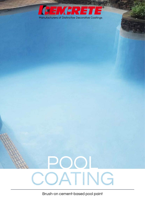

**START OF** 



Brush-on cement-based pool paint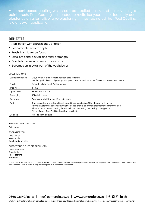plaster as an alternative to re-plastering. It must be noted that Pool Coating

## **BENEFITS**

- Application with a brush and / or roller
- Economical & easy to apply
- **Fresh finish to old surfaces**
- **Excellent bond, flexural and tensile strength**
- Good abrasion and chemical resistance
- **Becomes an integral part of the pool plaster**

## **SPECIFICATIONS**

| Suitable surfaces | Old, dirty pool plaster that has been acid-washed<br>Not for application to oil paint, plastic paint, new cement surfaces, fibreglass or new pool plaster                                                                                                                                                                         |
|-------------------|-----------------------------------------------------------------------------------------------------------------------------------------------------------------------------------------------------------------------------------------------------------------------------------------------------------------------------------|
| Finish            | Smooth - slight brush / roller texture                                                                                                                                                                                                                                                                                            |
| Thickness         | 1.5mm                                                                                                                                                                                                                                                                                                                             |
| Application       | Brush and/or roller                                                                                                                                                                                                                                                                                                               |
| Packaging         | 15kg twin-pack                                                                                                                                                                                                                                                                                                                    |
| Coverage          | Approximately 25m <sup>2</sup> per 15kg twin-pack                                                                                                                                                                                                                                                                                 |
| Curing            | The completed work should be air cured for 6 days before filling the pool with water<br>Any rain water that does fall during this period should be immediately removed from the pool<br>Allow an extra days air curing for each day of rain during the six day curing period<br>Filling of pool - See Pool Coating Start-Up Guide |
| Colour/s          | Available in 6 colours                                                                                                                                                                                                                                                                                                            |

## Intended for use with

Acid wash

Tools needed Block brush Wire-brush Brush and / or roller Supporting Cemcrete Products

Pool Crack Filler Pool Sealer Pool Patching FlexBond

In warm/humid weather the product tends to thicken in the drum which reduces the coverage achieved. To alleviate this problem, dilute FlexBond (dilute 1:4 with clean water) and add 100ml at a time to keep the mixed product to a paintable consistency.

0860 CEMCRETE | info@cemcrete.co.za | www.cemcrete.co.za | f  $\bullet$  P in  $\bullet$ 

We have distributors nationally as well as across many African countries and internationally. Contact us to locate your nearest retailer or contractor.